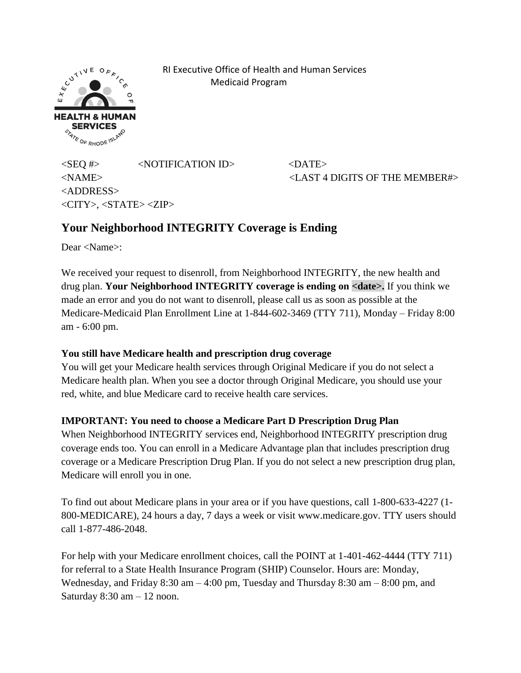**ACUTIVE**  $E X$ **HEALTH & HU SERVICES SERVICES** 

 RI Executive Office of Health and Human Services Medicaid Program

 $\langle$ SEQ #>  $\langle$ NOTIFICATION ID>  $\langle$ DATE> <NAME> <LAST 4 DIGITS OF THE MEMBER#> <ADDRESS> <CITY>, <STATE> <ZIP>

## **Your Neighborhood INTEGRITY Coverage is Ending**

Dear <Name>:

We received your request to disenroll, from Neighborhood INTEGRITY, the new health and drug plan. **Your Neighborhood INTEGRITY coverage is ending on <date>.** If you think we made an error and you do not want to disenroll, please call us as soon as possible at the Medicare-Medicaid Plan Enrollment Line at 1-844-602-3469 (TTY 711), Monday – Friday 8:00 am - 6:00 pm.

## **You still have Medicare health and prescription drug coverage**

You will get your Medicare health services through Original Medicare if you do not select a Medicare health plan. When you see a doctor through Original Medicare, you should use your red, white, and blue Medicare card to receive health care services.

## **IMPORTANT: You need to choose a Medicare Part D Prescription Drug Plan**

When Neighborhood INTEGRITY services end, Neighborhood INTEGRITY prescription drug coverage ends too. You can enroll in a Medicare Advantage plan that includes prescription drug coverage or a Medicare Prescription Drug Plan. If you do not select a new prescription drug plan, Medicare will enroll you in one.

To find out about Medicare plans in your area or if you have questions, call 1-800-633-4227 (1- 800-MEDICARE), 24 hours a day, 7 days a week or visit www.medicare.gov. TTY users should call 1-877-486-2048.

For help with your Medicare enrollment choices, call the POINT at 1-401-462-4444 (TTY 711) for referral to a State Health Insurance Program (SHIP) Counselor. Hours are: Monday, Wednesday, and Friday 8:30 am – 4:00 pm, Tuesday and Thursday 8:30 am – 8:00 pm, and Saturday  $8:30$  am  $-12$  noon.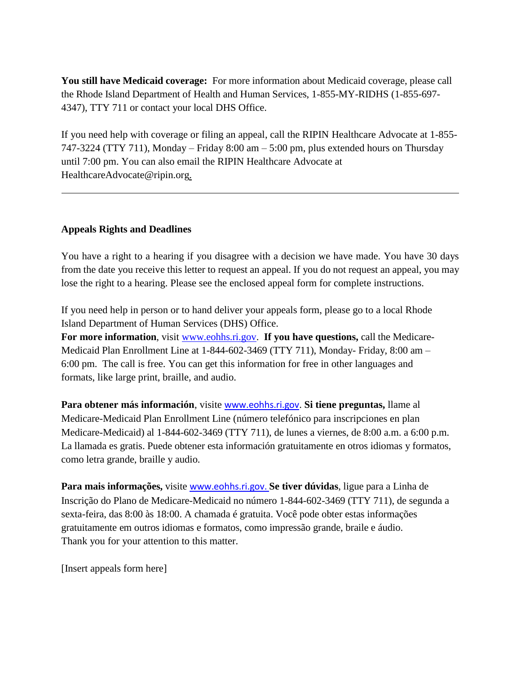**You still have Medicaid coverage:** For more information about Medicaid coverage, please call the Rhode Island Department of Health and Human Services, 1-855-MY-RIDHS (1-855-697- 4347), TTY 711 or contact your local DHS Office.

If you need help with coverage or filing an appeal, call the RIPIN Healthcare Advocate at 1-855- 747-3224 (TTY 711), Monday – Friday 8:00 am – 5:00 pm, plus extended hours on Thursday until 7:00 pm. You can also email the RIPIN Healthcare Advocate at [HealthcareAdvocate@ripin.org.](mailto:HealthcareAdvocate@ripin.org)

## **Appeals Rights and Deadlines**

You have a right to a hearing if you disagree with a decision we have made. You have 30 days from the date you receive this letter to request an appeal. If you do not request an appeal, you may lose the right to a hearing. Please see the enclosed appeal form for complete instructions.

If you need help in person or to hand deliver your appeals form, please go to a local Rhode Island Department of Human Services (DHS) Office.

**For more information**, visit [www.eohhs.ri.gov.](http://www.eohhs.ri.gov/) **If you have questions,** call the Medicare-Medicaid Plan Enrollment Line at 1-844-602-3469 (TTY 711), Monday- Friday, 8:00 am – 6:00 pm. The call is free. You can get this information for free in other languages and formats, like large print, braille, and audio.

**Para obtener más información**, visite [www.eohhs.ri.gov](http://www.eohhs.ri.gov/). **Si tiene preguntas,** llame al Medicare-Medicaid Plan Enrollment Line (número telefónico para inscripciones en plan Medicare-Medicaid) al 1-844-602-3469 (TTY 711), de lunes a viernes, de 8:00 a.m. a 6:00 p.m. La llamada es gratis. Puede obtener esta información gratuitamente en otros idiomas y formatos, como letra grande, braille y audio.

**Para mais informações,** visite [www.eohhs.ri.gov.](http://www.eohhs.ri.gov/) **Se tiver dúvidas**, ligue para a Linha de Inscrição do Plano de Medicare-Medicaid no número 1-844-602-3469 (TTY 711), de segunda a sexta-feira, das 8:00 às 18:00. A chamada é gratuita. Você pode obter estas informações gratuitamente em outros idiomas e formatos, como impressão grande, braile e áudio. Thank you for your attention to this matter.

[Insert appeals form here]